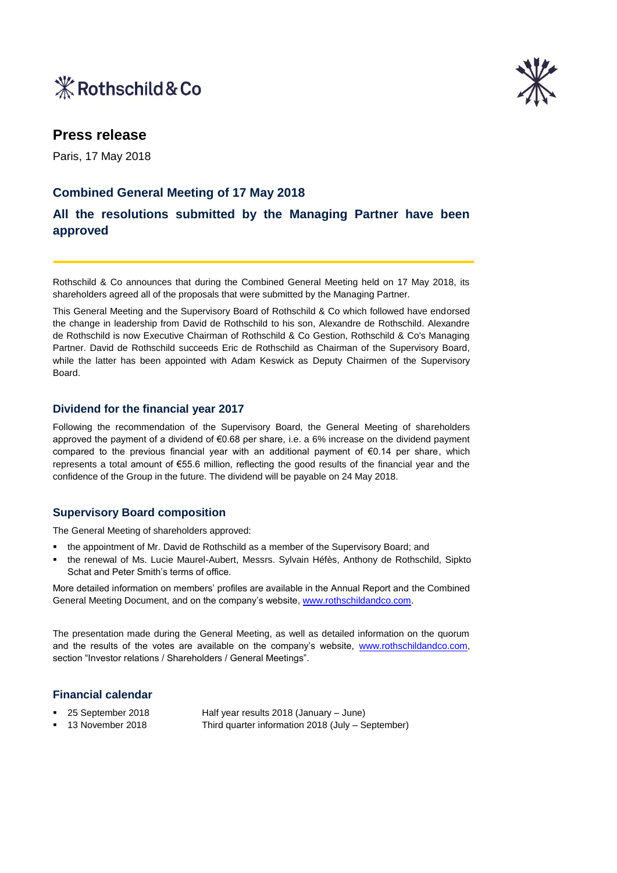



# **Press release**

Paris, 17 May 2018

## **Combined General Meeting of 17 May 2018**

# **All the resolutions submitted by the Managing Partner have been approved**

Rothschild & Co announces that during the Combined General Meeting held on 17 May 2018, its shareholders agreed all of the proposals that were submitted by the Managing Partner.

This General Meeting and the Supervisory Board of Rothschild & Co which followed have endorsed the change in leadership from David de Rothschild to his son, Alexandre de Rothschild. Alexandre de Rothschild is now Executive Chairman of Rothschild & Co Gestion, Rothschild & Co's Managing Partner. David de Rothschild succeeds Eric de Rothschild as Chairman of the Supervisory Board, while the latter has been appointed with Adam Keswick as Deputy Chairmen of the Supervisory Board.

#### **Dividend for the financial year 2017**

Following the recommendation of the Supervisory Board, the General Meeting of shareholders approved the payment of a dividend of €0.68 per share, i.e. a 6% increase on the dividend payment compared to the previous financial year with an additional payment of  $\epsilon$ 0.14 per share, which represents a total amount of €55.6 million, reflecting the good results of the financial year and the confidence of the Group in the future. The dividend will be payable on 24 May 2018.

### **Supervisory Board composition**

The General Meeting of shareholders approved:

- the appointment of Mr. David de Rothschild as a member of the Supervisory Board; and
- the renewal of Ms. Lucie Maurel-Aubert, Messrs. Sylvain Héfès, Anthony de Rothschild, Sipkto Schat and Peter Smith's terms of office.

More detailed information on members' profiles are available in the Annual Report and the Combined General Meeting Document, and on the company's website, [www.rothschildandco.com.](http://www.rothschildandco.com/)

The presentation made during the General Meeting, as well as detailed information on the quorum and the results of the votes are available on the company's website, [www.rothschildandco.com,](http://www.rothschildandco.com/) section "Investor relations / Shareholders / General Meetings".

### **Financial calendar**

 25 September 2018 Half year results 2018 (January – June) 13 November 2018 Third quarter information 2018 (July – September)